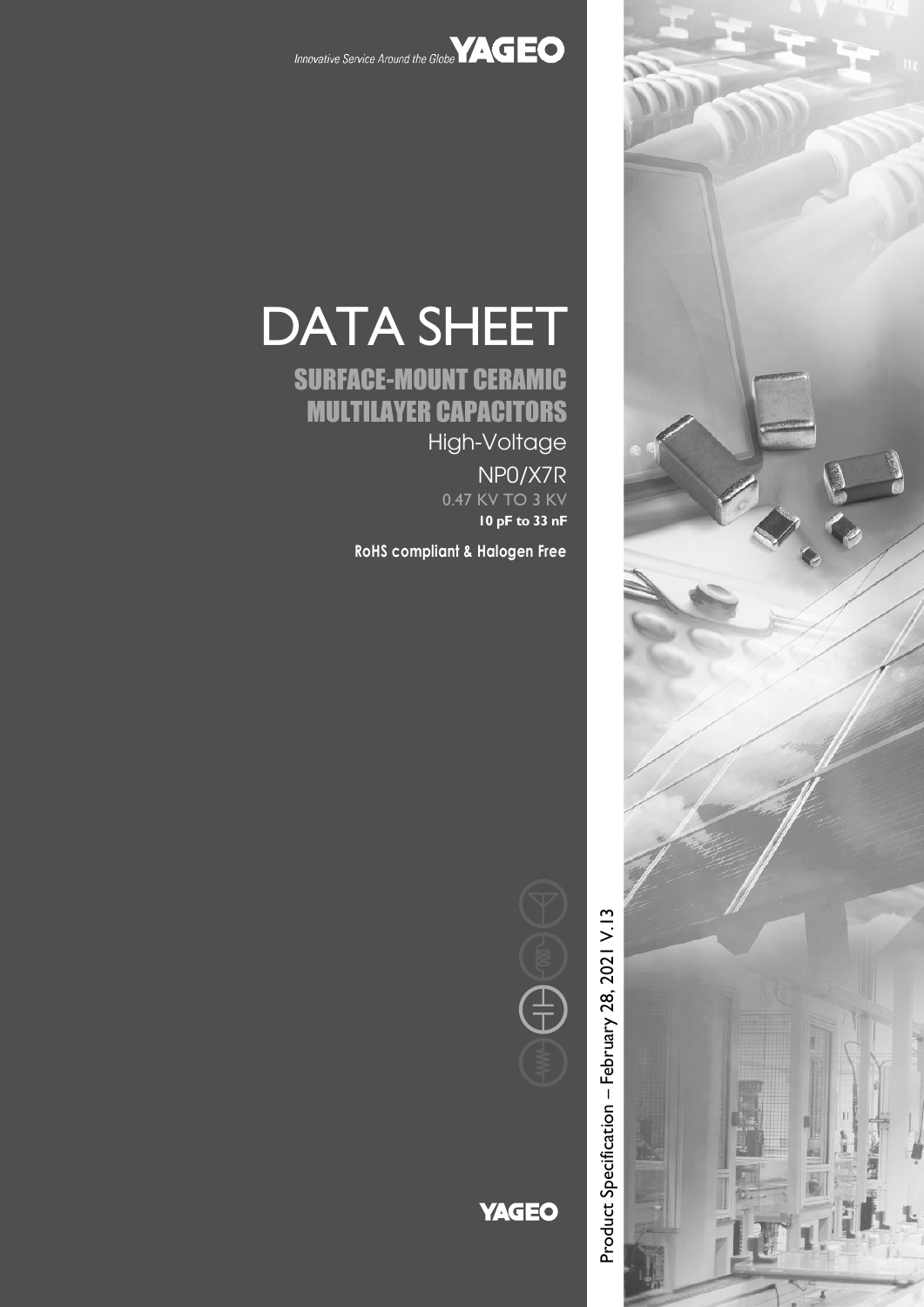



# DATA SHEET

# SURFACE-MOUNT CERAMIC MULTILAYER CAPACITORS High-Voltage

NP0/X7R 0.47 KV TO 3 KV

**10 pF to 33 nF**

**RoHS compliant & Halogen Free**



# **YAGEO**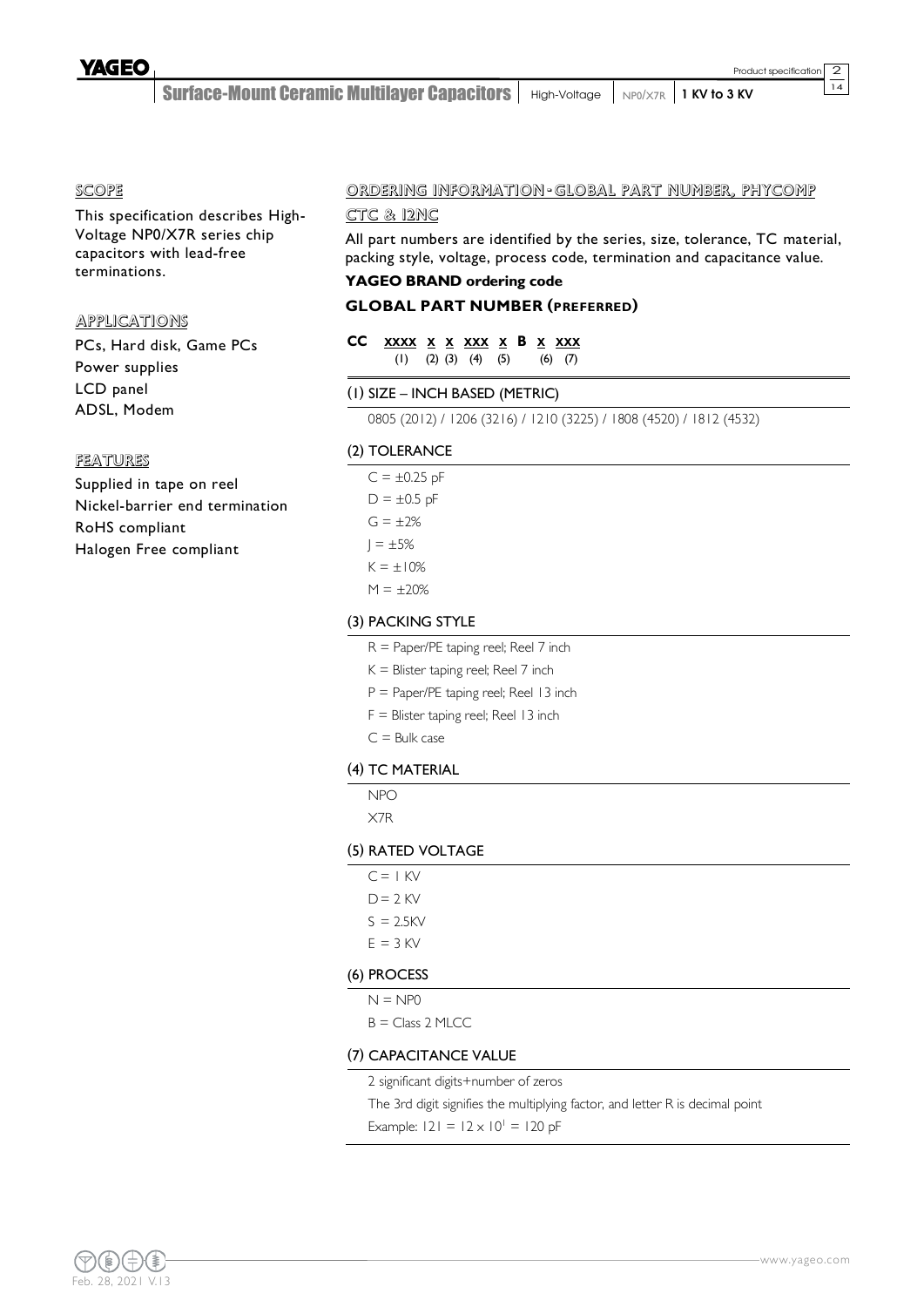$\overline{14}$ 

Surface-Mount Ceramic Multilayer Capacitors | High-Voltage | NP0/X7R | 1 KV to 3 KV

### SCOPE

This specification describes High-Voltage NP0/X7R series chip capacitors with lead-free terminations.

### APPLICATIONS

PCs, Hard disk, Game PCs Power supplies LCD panel ADSL, Modem

#### FEATURES

Supplied in tape on reel Nickel-barrier end termination RoHS compliant Halogen Free compliant

### ORDERING INFORMATION - GLOBAL PART NUMBER, PHYCOMP

### CTC & 12NC

All part numbers are identified by the series, size, tolerance, TC material, packing style, voltage, process code, termination and capacitance value.

# **YAGEO BRAND ordering code**

# **GLOBAL PART NUMBER (PREFERRED)**

### **CC XXXX X X XXX X B X XXX** (1) (2) (3) (4) (5) (6) (7)

### (1) SIZE – INCH BASED (METRIC)

0805 (2012) / 1206 (3216) / 1210 (3225) / 1808 (4520) / 1812 (4532)

### (2) TOLERANCE

 $C = \pm 0.25$  pF  $D = \pm 0.5$  pF  $G = \pm 2%$  $I = \pm 5%$  $K = \pm 10\%$  $M = \pm 20%$ 

### (3) PACKING STYLE

- R = Paper/PE taping reel; Reel 7 inch
- $K =$  Blister taping reel; Reel 7 inch
- P = Paper/PE taping reel; Reel 13 inch
- F = Blister taping reel; Reel 13 inch
- $C =$  Bulk case

### (4) TC MATERIAL

NPO X7R

### (5) RATED VOLTAGE

| $C = 1$ KV   |  |  |  |
|--------------|--|--|--|
| $D = 2$ KV   |  |  |  |
| $S = 2.5$ KV |  |  |  |
| $E = 3$ KV   |  |  |  |
| (6) PROCESS  |  |  |  |

 $N = NP<sub>0</sub>$ 

 $B = Class 2 MLCC$ 

### (7) CAPACITANCE VALUE

2 significant digits+number of zeros

The 3rd digit signifies the multiplying factor, and letter R is decimal point

Example:  $|2| = |2 \times 10^{1} = |20 \text{ pF}|$ 

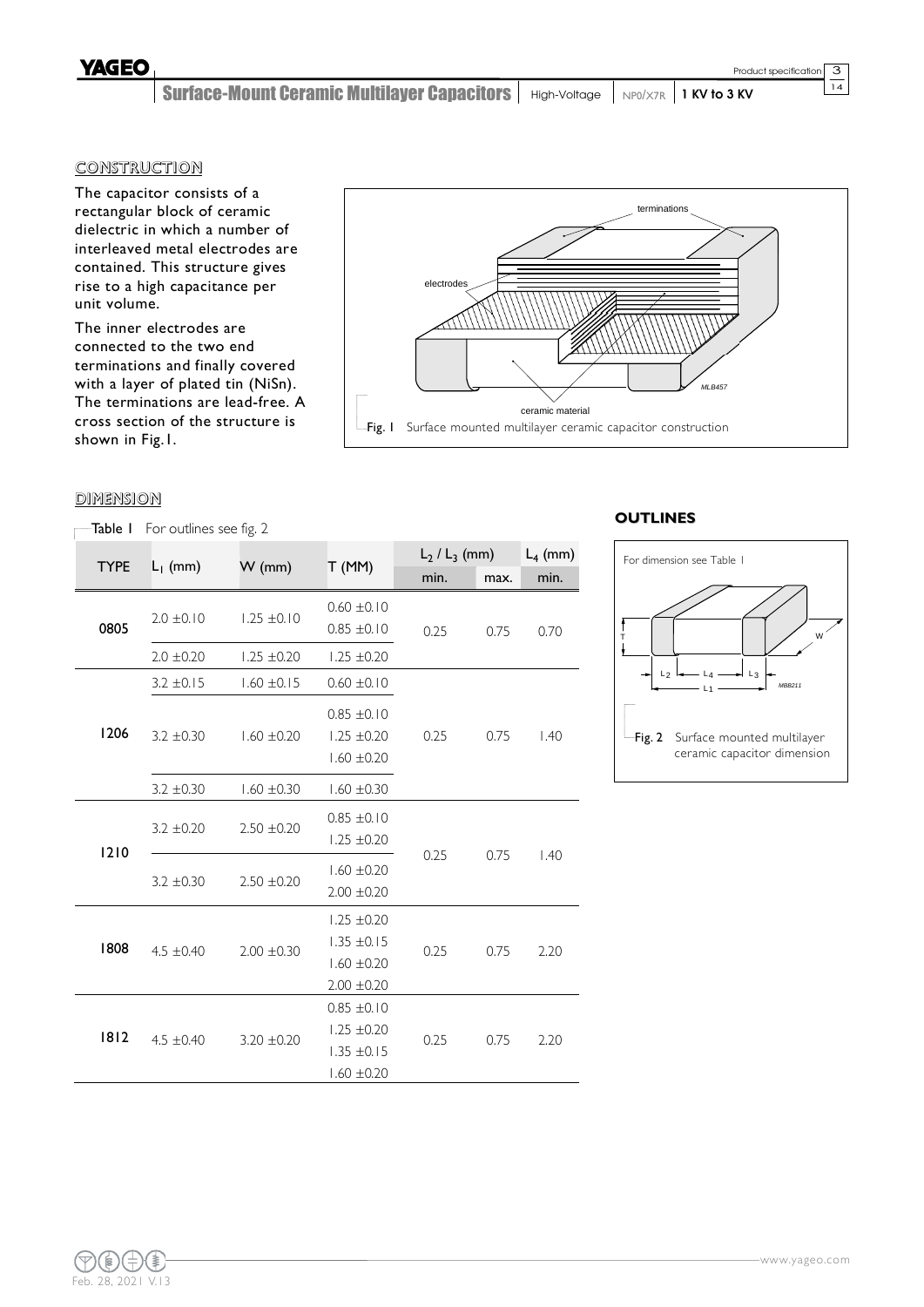Surface-Mount Ceramic Multilayer Capacitors | High-Voltage | NP0/X7R | 1 KV to 3 KV

# **CONSTRUCTION**

The capacitor consists of a rectangular block of ceramic dielectric in which a number of interleaved metal electrodes are contained. This structure gives rise to a high capacitance per unit volume.

The inner electrodes are connected to the two end terminations and finally covered with a layer of plated tin (NiSn). The terminations are lead-free. A cross section of the structure is shown in Fig.1.



## **DIMENSION**

Table I For outlines see fig. 2

|             |                |                 |                                                                          | $L_2$ / $L_3$ (mm) |      | $L_4$ (mm) |
|-------------|----------------|-----------------|--------------------------------------------------------------------------|--------------------|------|------------|
| <b>TYPE</b> | $L_1$ (mm)     | $W$ (mm)        | T(MM)                                                                    | min.               | max. | min.       |
| 0805        | $2.0 \pm 0.10$ | $1.25 \pm 0.10$ | $0.60 \pm 0.10$<br>$0.85 \pm 0.10$                                       | 0.25               | 0.75 | 0.70       |
|             | $2.0 \pm 0.20$ | $1.25 \pm 0.20$ | $1.25 \pm 0.20$                                                          |                    |      |            |
|             | $3.2 \pm 0.15$ | $1.60 \pm 0.15$ | $0.60 \pm 0.10$                                                          |                    |      |            |
| 1206        | $3.2 \pm 0.30$ | $1.60 \pm 0.20$ | $0.85 \pm 0.10$<br>$1,25 \pm 0.20$<br>$1,60 \pm 0.20$                    | 0.25               | 0.75 | 1.40       |
|             | $3.2 \pm 0.30$ | $1.60 \pm 0.30$ | $1,60 \pm 0.30$                                                          |                    |      |            |
| 1210        | $3.2 \pm 0.20$ | $2.50 \pm 0.20$ | $0.85 \pm 0.10$<br>$1.25 \pm 0.20$                                       |                    | 0.75 |            |
|             | $3.2 \pm 0.30$ | $2.50 \pm 0.20$ | $1.60 \pm 0.20$<br>$2.00 \pm 0.20$                                       | 0.25               |      | 1.40       |
| 1808        | $4.5 \pm 0.40$ | $2.00 \pm 0.30$ | $1.25 \pm 0.20$<br>$1.35 \pm 0.15$<br>$1.60 \pm 0.20$<br>$2.00 \pm 0.20$ | 0.25               | 0.75 | 2.20       |
| 1812        | $4.5 \pm 0.40$ | $3.20 \pm 0.20$ | $0.85 \pm 0.10$<br>$1.25 \pm 0.20$<br>$1.35 \pm 0.15$<br>$1.60 \pm 0.20$ | 0.25               | 0.75 | 2.20       |

# **OUTLINES**

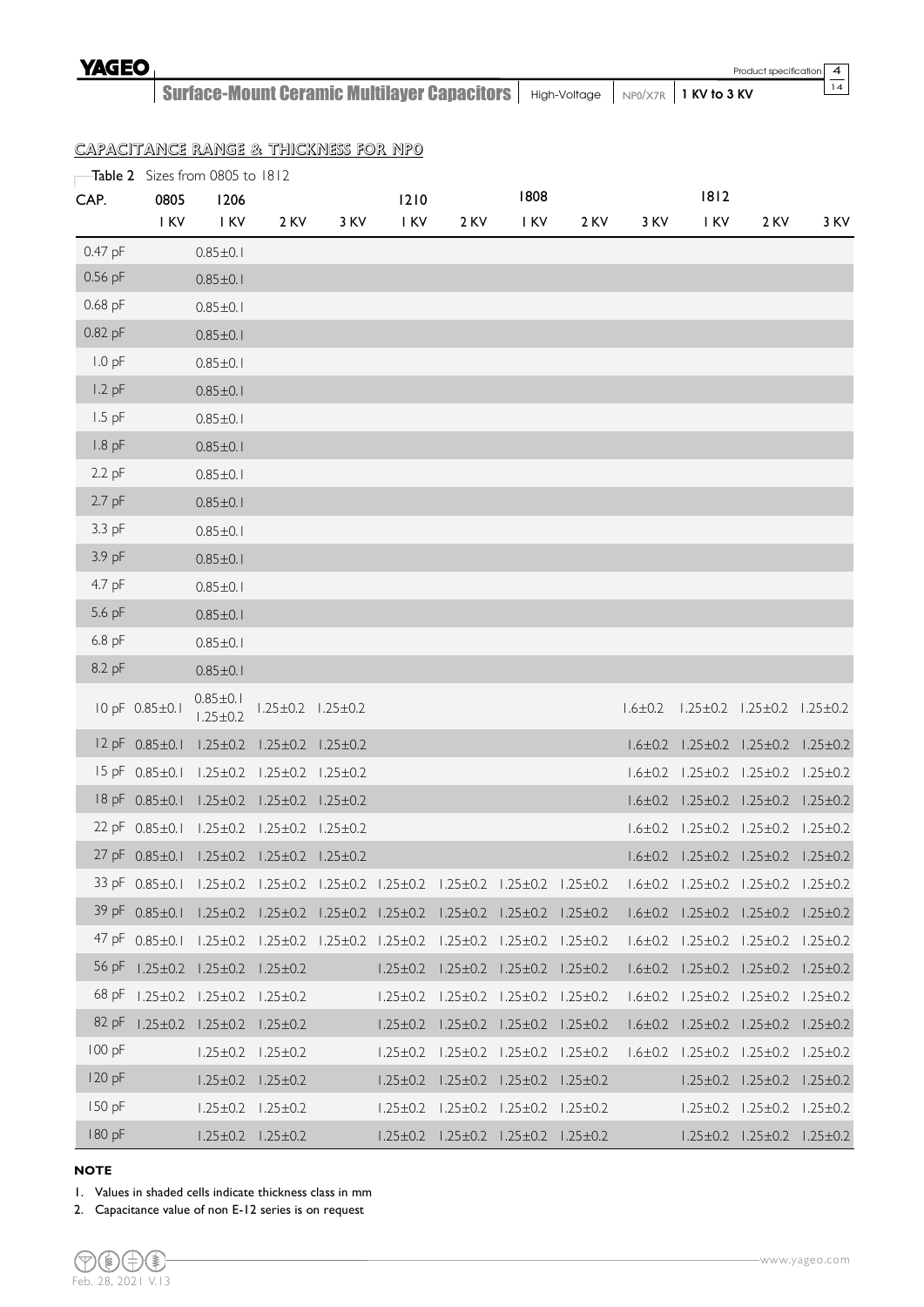14

Surface-Mount Ceramic Multilayer Capacitors | High-Voltage | NP0/X7R | 1 KV to 3 KV

# CAPACITANCE RANGE & THICKNESS FOR NP0

|           |                        | Table 2 Sizes from 0805 to 1812                                                                                  |                                              |                               |      |                                                             |      |      |      |                                                            |                                              |      |
|-----------|------------------------|------------------------------------------------------------------------------------------------------------------|----------------------------------------------|-------------------------------|------|-------------------------------------------------------------|------|------|------|------------------------------------------------------------|----------------------------------------------|------|
| CAP.      | 0805                   | 1206                                                                                                             |                                              |                               | 1210 |                                                             | 1808 |      |      | 1812                                                       |                                              |      |
|           | I KV                   | I KV                                                                                                             | 2 KV                                         | 3 KV                          | I KV | 2 KV                                                        | I KV | 2 KV | 3 KV | I KV                                                       | 2 KV                                         | 3 KV |
| 0.47 pF   |                        | $0.85 \pm 0.1$                                                                                                   |                                              |                               |      |                                                             |      |      |      |                                                            |                                              |      |
| 0.56 pF   |                        | $0.85 \pm 0.1$                                                                                                   |                                              |                               |      |                                                             |      |      |      |                                                            |                                              |      |
| $0.68$ pF |                        | $0.85 \pm 0.1$                                                                                                   |                                              |                               |      |                                                             |      |      |      |                                                            |                                              |      |
| $0.82$ pF |                        | $0.85 \pm 0.1$                                                                                                   |                                              |                               |      |                                                             |      |      |      |                                                            |                                              |      |
| $1.0$ pF  |                        | $0.85 \pm 0.1$                                                                                                   |                                              |                               |      |                                                             |      |      |      |                                                            |                                              |      |
| $1.2$ pF  |                        | $0.85 \pm 0.1$                                                                                                   |                                              |                               |      |                                                             |      |      |      |                                                            |                                              |      |
| $1.5$ pF  |                        | $0.85 \pm 0.1$                                                                                                   |                                              |                               |      |                                                             |      |      |      |                                                            |                                              |      |
| $1.8$ pF  |                        | $0.85 \pm 0.1$                                                                                                   |                                              |                               |      |                                                             |      |      |      |                                                            |                                              |      |
| $2.2$ pF  |                        | $0.85 \pm 0.1$                                                                                                   |                                              |                               |      |                                                             |      |      |      |                                                            |                                              |      |
| $2.7$ pF  |                        | $0.85 \pm 0.1$                                                                                                   |                                              |                               |      |                                                             |      |      |      |                                                            |                                              |      |
| 3.3 pF    |                        | $0.85 \pm 0.1$                                                                                                   |                                              |                               |      |                                                             |      |      |      |                                                            |                                              |      |
| 3.9 pF    |                        | $0.85 \pm 0.1$                                                                                                   |                                              |                               |      |                                                             |      |      |      |                                                            |                                              |      |
| 4.7 pF    |                        | $0.85 \pm 0.1$                                                                                                   |                                              |                               |      |                                                             |      |      |      |                                                            |                                              |      |
| 5.6 pF    |                        | $0.85 \pm 0.1$                                                                                                   |                                              |                               |      |                                                             |      |      |      |                                                            |                                              |      |
| 6.8 pF    |                        | $0.85 \pm 0.1$                                                                                                   |                                              |                               |      |                                                             |      |      |      |                                                            |                                              |      |
| 8.2 pF    |                        | $0.85 \pm 0.1$                                                                                                   |                                              |                               |      |                                                             |      |      |      |                                                            |                                              |      |
|           | 10 pF 0.85±0.1         | $0.85 \pm 0.1$<br>$1.25 \pm 0.2$                                                                                 |                                              | $1.25 \pm 0.2$ $1.25 \pm 0.2$ |      |                                                             |      |      |      | $1.6 \pm 0.2$ $1.25 \pm 0.2$ $1.25 \pm 0.2$ $1.25 \pm 0.2$ |                                              |      |
|           | $12 pF 0.85 \pm 0.1$   |                                                                                                                  | $1.25 \pm 0.2$ $1.25 \pm 0.2$ $1.25 \pm 0.2$ |                               |      |                                                             |      |      |      | $1.6 \pm 0.2$ $1.25 \pm 0.2$ $1.25 \pm 0.2$ $1.25 \pm 0.2$ |                                              |      |
|           |                        | 15 pF 0.85±0.1 1.25±0.2 1.25±0.2 1.25±0.2                                                                        |                                              |                               |      |                                                             |      |      |      | $1.6 \pm 0.2$ $1.25 \pm 0.2$ $1.25 \pm 0.2$ $1.25 \pm 0.2$ |                                              |      |
|           | $18$ pF $0.85 \pm 0.1$ |                                                                                                                  | $1.25 \pm 0.2$ $1.25 \pm 0.2$ $1.25 \pm 0.2$ |                               |      |                                                             |      |      |      | $1.6\pm0.2$ $1.25\pm0.2$ $1.25\pm0.2$ $1.25\pm0.2$         |                                              |      |
|           |                        | 22 pF 0.85±0.1 1.25±0.2 1.25±0.2 1.25±0.2                                                                        |                                              |                               |      |                                                             |      |      |      | $1.6 \pm 0.2$ $1.25 \pm 0.2$ $1.25 \pm 0.2$ $1.25 \pm 0.2$ |                                              |      |
|           |                        | 27 pF 0.85±0.1 1.25±0.2 1.25±0.2 1.25±0.2                                                                        |                                              |                               |      |                                                             |      |      |      | $1.6 \pm 0.2$ $1.25 \pm 0.2$ $1.25 \pm 0.2$ $1.25 \pm 0.2$ |                                              |      |
|           |                        | 33 pF 0.85±0.1 1.25±0.2 1.25±0.2 1.25±0.2 1.25±0.2 1.25±0.2 1.25±0.2 1.25±0.2 1.6±0.2 1.25±0.2 1.25±0.2 1.25±0.2 |                                              |                               |      |                                                             |      |      |      |                                                            |                                              |      |
|           |                        | 39 pF 0.85±0.1 1.25±0.2 1.25±0.2 1.25±0.2 1.25±0.2 1.25±0.2 1.25±0.2 1.25±0.2 1.6±0.2 1.25±0.2 1.25±0.2 1.25±0.2 |                                              |                               |      |                                                             |      |      |      |                                                            |                                              |      |
|           |                        | 47 pF 0.85±0.1 1.25±0.2 1.25±0.2 1.25±0.2 1.25±0.2 1.25±0.2 1.25±0.2 1.25±0.2                                    |                                              |                               |      |                                                             |      |      |      | $1.6 \pm 0.2$ $1.25 \pm 0.2$ $1.25 \pm 0.2$ $1.25 \pm 0.2$ |                                              |      |
| 56 pF     |                        | $1.25 \pm 0.2$ $1.25 \pm 0.2$ $1.25 \pm 0.2$                                                                     |                                              |                               |      | $1.25 \pm 0.2$ $1.25 \pm 0.2$ $1.25 \pm 0.2$ $1.25 \pm 0.2$ |      |      |      | $1.6 \pm 0.2$ $1.25 \pm 0.2$ $1.25 \pm 0.2$ $1.25 \pm 0.2$ |                                              |      |
| 68 pF     |                        | $1.25 \pm 0.2$ $1.25 \pm 0.2$ $1.25 \pm 0.2$                                                                     |                                              |                               |      | $1.25 \pm 0.2$ $1.25 \pm 0.2$ $1.25 \pm 0.2$ $1.25 \pm 0.2$ |      |      |      | $1.6 \pm 0.2$ $1.25 \pm 0.2$ $1.25 \pm 0.2$ $1.25 \pm 0.2$ |                                              |      |
| 82 pF     |                        | $1.25 \pm 0.2$ $1.25 \pm 0.2$ $1.25 \pm 0.2$                                                                     |                                              |                               |      | $1.25 \pm 0.2$ $1.25 \pm 0.2$ $1.25 \pm 0.2$ $1.25 \pm 0.2$ |      |      |      | $1.6 \pm 0.2$ $1.25 \pm 0.2$ $1.25 \pm 0.2$ $1.25 \pm 0.2$ |                                              |      |
| 100 pF    |                        |                                                                                                                  | $1.25 \pm 0.2$ $1.25 \pm 0.2$                |                               |      | $1.25 \pm 0.2$ $1.25 \pm 0.2$ $1.25 \pm 0.2$ $1.25 \pm 0.2$ |      |      |      | $1.6 \pm 0.2$ $1.25 \pm 0.2$ $1.25 \pm 0.2$ $1.25 \pm 0.2$ |                                              |      |
| 120 pF    |                        |                                                                                                                  | $1.25 \pm 0.2$ $1.25 \pm 0.2$                |                               |      | $1.25 \pm 0.2$ $1.25 \pm 0.2$ $1.25 \pm 0.2$ $1.25 \pm 0.2$ |      |      |      |                                                            | $1.25 \pm 0.2$ $1.25 \pm 0.2$ $1.25 \pm 0.2$ |      |
| $150$ pF  |                        |                                                                                                                  | $1.25 \pm 0.2$ $1.25 \pm 0.2$                |                               |      | $1.25 \pm 0.2$ $1.25 \pm 0.2$ $1.25 \pm 0.2$ $1.25 \pm 0.2$ |      |      |      |                                                            | $1.25 \pm 0.2$ $1.25 \pm 0.2$ $1.25 \pm 0.2$ |      |
| 180 pF    |                        |                                                                                                                  | $1.25 \pm 0.2$ $1.25 \pm 0.2$                |                               |      | $1.25 \pm 0.2$ $1.25 \pm 0.2$ $1.25 \pm 0.2$ $1.25 \pm 0.2$ |      |      |      |                                                            | $1.25 \pm 0.2$ $1.25 \pm 0.2$ $1.25 \pm 0.2$ |      |

### **NOTE**

1. Values in shaded cells indicate thickness class in mm

2. Capacitance value of non E-12 series is on request

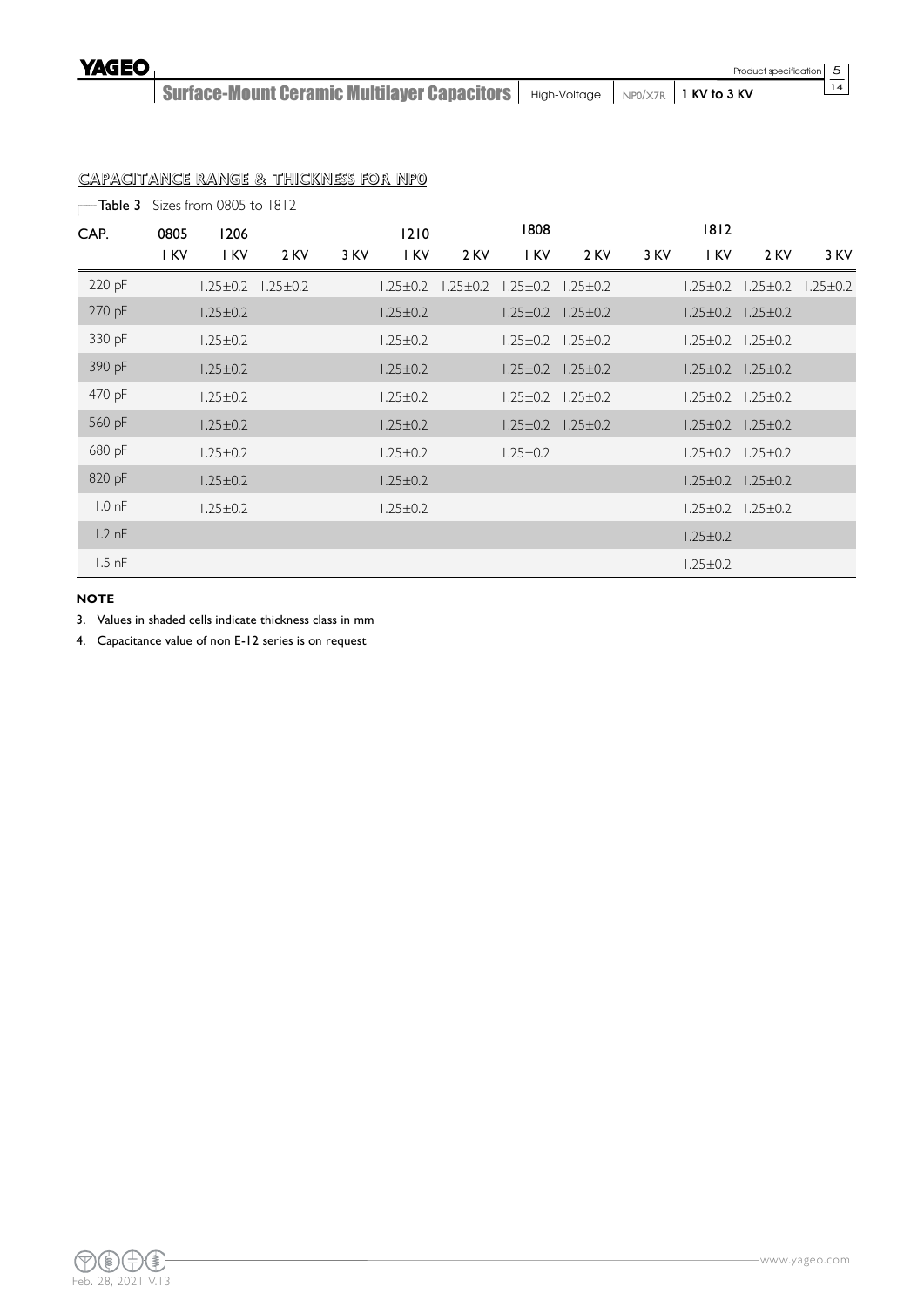Surface-Mount Ceramic Multilayer Capacitors | High-Voltage | NP0/X7R | 1 KV to 3 KV

# CAPACITANCE RANGE & THICKNESS FOR NP0

| - Table 3         |      | Sizes from 0805 to 1812 |                |      |                |                |                |                               |      |                |                               |              |
|-------------------|------|-------------------------|----------------|------|----------------|----------------|----------------|-------------------------------|------|----------------|-------------------------------|--------------|
| CAP.              | 0805 | 1206                    |                |      | 1210           |                | 1808           |                               |      | $1812$         |                               |              |
|                   | I KV | I KV                    | 2 KV           | 3 KV | I KV           | 2 KV           | I KV           | 2 KV                          | 3 KV | I KV           | 2 KV                          | 3 KV         |
| 220 pF            |      | $1.25 \pm 0.2$          | $1.25 \pm 0.2$ |      | $1.25 \pm 0.2$ | $1,25 \pm 0.2$ | $1,25 \pm 0.2$ | $1.25 \pm 0.2$                |      | $1.25 \pm 0.2$ | $1.25 \pm 0.2$                | $1,25\pm0.2$ |
| 270 pF            |      | $1.25 \pm 0.2$          |                |      | $1.25 \pm 0.2$ |                |                | $1.25 \pm 0.2$ $1.25 \pm 0.2$ |      |                | $1.25 \pm 0.2$ $1.25 \pm 0.2$ |              |
| 330 pF            |      | $1.25 \pm 0.2$          |                |      | $1.25 \pm 0.2$ |                | $1,25 \pm 0.2$ | $1.25 \pm 0.2$                |      | $1.25 \pm 0.2$ | $1.25 \pm 0.2$                |              |
| 390 pF            |      | $1.25 \pm 0.2$          |                |      | $1.25 \pm 0.2$ |                |                | $1.25 \pm 0.2$ $1.25 \pm 0.2$ |      |                | $1.25 \pm 0.2$ $1.25 \pm 0.2$ |              |
| 470 pF            |      | $1.25 \pm 0.2$          |                |      | $1.25 \pm 0.2$ |                | $1.25 \pm 0.2$ | $1.25 \pm 0.2$                |      | $1.25 \pm 0.2$ | $1.25 \pm 0.2$                |              |
| 560 pF            |      | $1.25 \pm 0.2$          |                |      | $1.25 \pm 0.2$ |                | $1.25 \pm 0.2$ | $1.25 \pm 0.2$                |      |                | $1.25 \pm 0.2$ $1.25 \pm 0.2$ |              |
| 680 pF            |      | $1.25 \pm 0.2$          |                |      | $1.25 \pm 0.2$ |                | $1.25 \pm 0.2$ |                               |      | $1.25 \pm 0.2$ | $1,25\pm0.2$                  |              |
| 820 pF            |      | $1.25 \pm 0.2$          |                |      | $1.25 \pm 0.2$ |                |                |                               |      | $1.25 \pm 0.2$ | $1.25 \pm 0.2$                |              |
| 1.0 <sub>nf</sub> |      | $1.25 \pm 0.2$          |                |      | $1.25 \pm 0.2$ |                |                |                               |      | $1.25 \pm 0.2$ | $1.25 \pm 0.2$                |              |
| $1.2$ nF          |      |                         |                |      |                |                |                |                               |      | $1.25 \pm 0.2$ |                               |              |
| $1.5$ nF          |      |                         |                |      |                |                |                |                               |      | $1.25 \pm 0.2$ |                               |              |

### **NOTE**

3. Values in shaded cells indicate thickness class in mm

4. Capacitance value of non E-12 series is on request

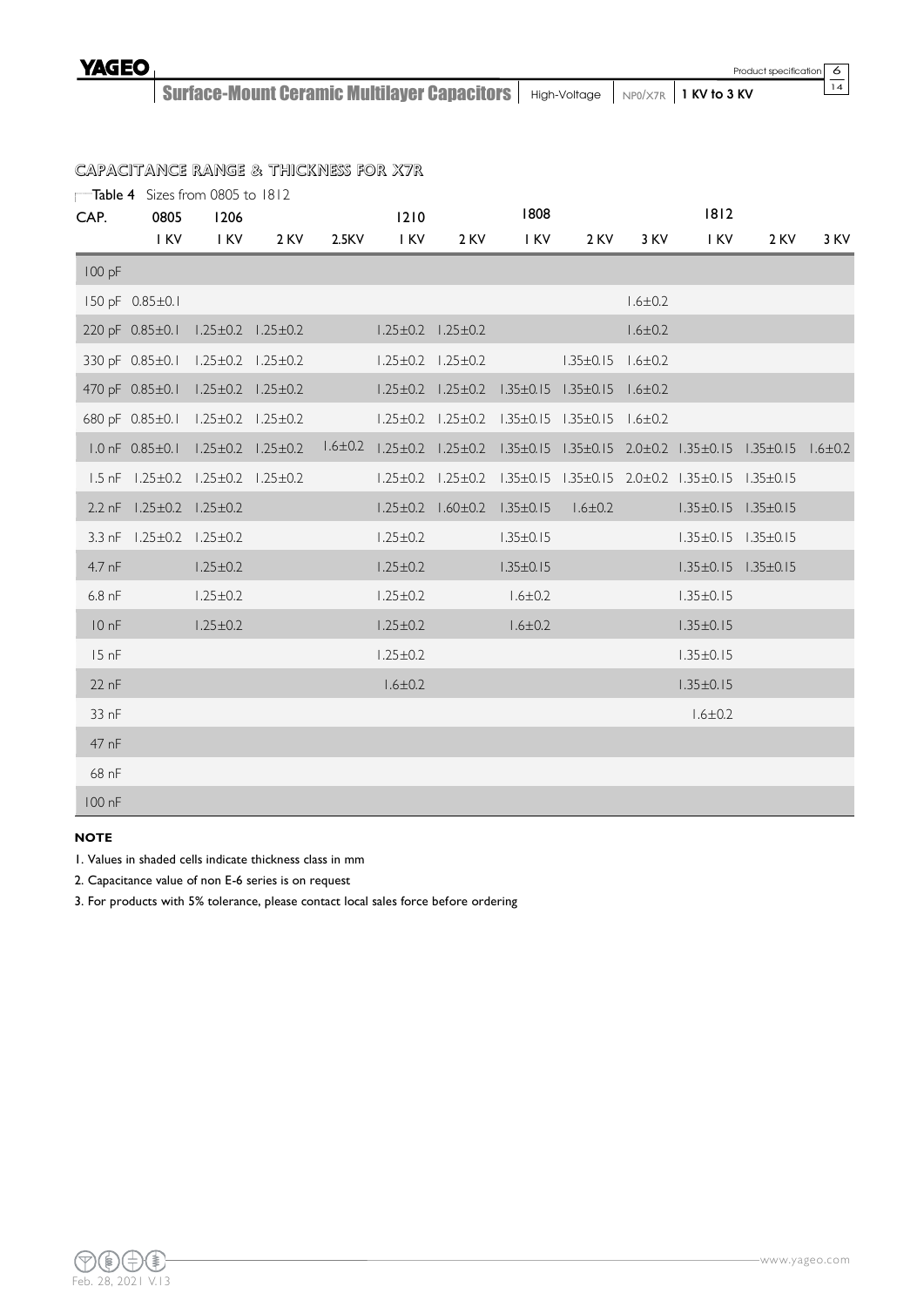14

Surface-Mount Ceramic Multilayer Capacitors | High-Voltage | NP0/X7R | 1 KV to 3 KV

# CAPACITANCE RANGE & THICKNESS FOR X7R

|                  | Table 4 Sizes from 0805 to 1812                       |                |                                   |       |                |                               |                                                                             |                               |               |                                                                                                                     |      |      |
|------------------|-------------------------------------------------------|----------------|-----------------------------------|-------|----------------|-------------------------------|-----------------------------------------------------------------------------|-------------------------------|---------------|---------------------------------------------------------------------------------------------------------------------|------|------|
| CAP.             | 0805                                                  | 1206           |                                   |       | 1210           |                               | 1808                                                                        |                               |               | 1812                                                                                                                |      |      |
|                  | I KV                                                  | I KV           | 2 KV                              | 2.5KV | I KV           | 2 KV                          | I KV                                                                        | 2 KV                          | 3 KV          | I KV                                                                                                                | 2 KV | 3 KV |
| 100 pF           |                                                       |                |                                   |       |                |                               |                                                                             |                               |               |                                                                                                                     |      |      |
|                  | 150 pF 0.85±0.1                                       |                |                                   |       |                |                               |                                                                             |                               | $1.6 \pm 0.2$ |                                                                                                                     |      |      |
|                  |                                                       |                | 220 pF 0.85±0.1 1.25±0.2 1.25±0.2 |       |                | $1.25 \pm 0.2$ $1.25 \pm 0.2$ |                                                                             |                               | $1.6 \pm 0.2$ |                                                                                                                     |      |      |
|                  | 330 pF 0.85±0.1 1.25±0.2 1.25±0.2                     |                |                                   |       |                | $1.25 \pm 0.2$ $1.25 \pm 0.2$ |                                                                             | $1.35 \pm 0.15$ $1.6 \pm 0.2$ |               |                                                                                                                     |      |      |
|                  | 470 pF 0.85±0.1 1.25±0.2 1.25±0.2                     |                |                                   |       |                |                               | $1.25 \pm 0.2$ $1.25 \pm 0.2$ $1.35 \pm 0.15$ $1.35 \pm 0.15$ $1.6 \pm 0.2$ |                               |               |                                                                                                                     |      |      |
|                  |                                                       |                | 680 pF 0.85±0.1 1.25±0.2 1.25±0.2 |       |                |                               | $1.25 \pm 0.2$ $1.25 \pm 0.2$ $1.35 \pm 0.15$ $1.35 \pm 0.15$ $1.6 \pm 0.2$ |                               |               |                                                                                                                     |      |      |
|                  |                                                       |                |                                   |       |                |                               |                                                                             |                               |               | 1.0 nF 0.85±0.1 1.25±0.2 1.25±0.2 1.6±0.2 1.25±0.2 1.25±0.2 1.35±0.15 1.35±0.15 2.0±0.2 1.35±0.15 1.35±0.15 1.6±0.2 |      |      |
|                  | $1.5$ nF $1.25 \pm 0.2$ $1.25 \pm 0.2$ $1.25 \pm 0.2$ |                |                                   |       |                |                               |                                                                             |                               |               | $1.25 \pm 0.2$ $1.25 \pm 0.2$ $1.35 \pm 0.15$ $1.35 \pm 0.15$ $2.0 \pm 0.2$ $1.35 \pm 0.15$ $1.35 \pm 0.15$         |      |      |
|                  | 2.2 nF $1.25 \pm 0.2$ $1.25 \pm 0.2$                  |                |                                   |       |                |                               | $1.25 \pm 0.2$ $1.60 \pm 0.2$ $1.35 \pm 0.15$ $1.6 \pm 0.2$                 |                               |               | $1.35 \pm 0.15$ $1.35 \pm 0.15$                                                                                     |      |      |
|                  | 3.3 nF 1.25±0.2 1.25±0.2                              |                |                                   |       | $1.25 \pm 0.2$ |                               | $1.35 \pm 0.15$                                                             |                               |               | $1.35 \pm 0.15$ $1.35 \pm 0.15$                                                                                     |      |      |
| $4.7$ nF         |                                                       | $1.25 \pm 0.2$ |                                   |       | $1.25 \pm 0.2$ |                               | $1.35 \pm 0.15$                                                             |                               |               | $1.35 \pm 0.15$ $1.35 \pm 0.15$                                                                                     |      |      |
| $6.8$ nF         |                                                       | $1.25 \pm 0.2$ |                                   |       | $1.25 \pm 0.2$ |                               | $1.6 \pm 0.2$                                                               |                               |               | $1.35 \pm 0.15$                                                                                                     |      |      |
| 10nF             |                                                       | $1.25 \pm 0.2$ |                                   |       | $1.25 \pm 0.2$ |                               | $1.6 \pm 0.2$                                                               |                               |               | $1.35 \pm 0.15$                                                                                                     |      |      |
| 15 <sub>nf</sub> |                                                       |                |                                   |       | $1.25 \pm 0.2$ |                               |                                                                             |                               |               | $1.35 \pm 0.15$                                                                                                     |      |      |
| $22$ nF          |                                                       |                |                                   |       | $1.6 \pm 0.2$  |                               |                                                                             |                               |               | $1.35 \pm 0.15$                                                                                                     |      |      |
| 33 nF            |                                                       |                |                                   |       |                |                               |                                                                             |                               |               | $1.6 \pm 0.2$                                                                                                       |      |      |
| 47 nF            |                                                       |                |                                   |       |                |                               |                                                                             |                               |               |                                                                                                                     |      |      |
| 68 nF            |                                                       |                |                                   |       |                |                               |                                                                             |                               |               |                                                                                                                     |      |      |
| 100 nF           |                                                       |                |                                   |       |                |                               |                                                                             |                               |               |                                                                                                                     |      |      |

#### **NOTE**

- 1. Values in shaded cells indicate thickness class in mm
- 2. Capacitance value of non E-6 series is on request

3. For products with 5% tolerance, please contact local sales force before ordering

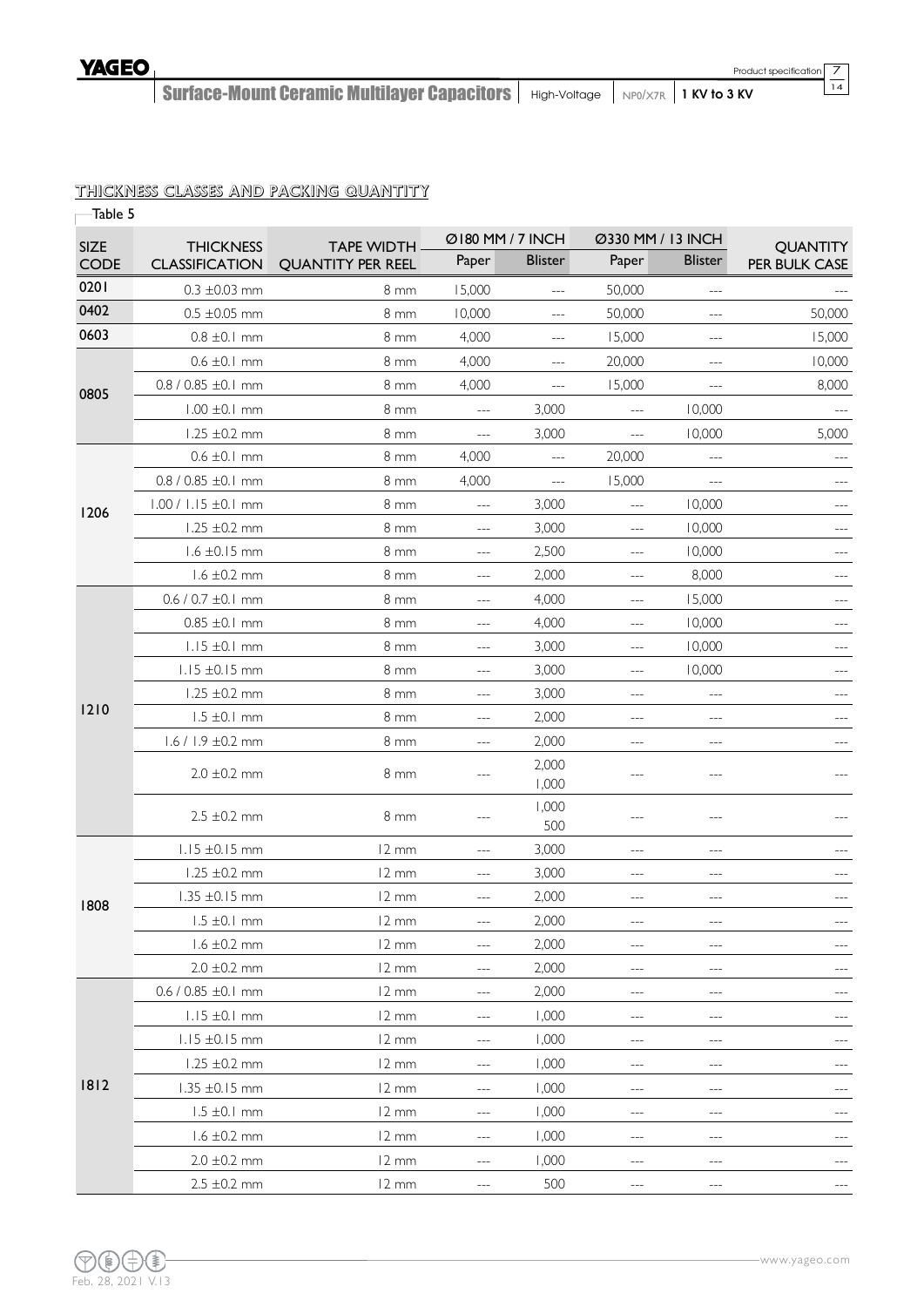14

Surface-Mount Ceramic Multilayer Capacitors | High-Voltage | NP0/X7R | 1 KV to 3 KV

# THICKNESS CLASSES AND PACKING QUANTITY

| Table 5     |                           |                          |                                        |                |                                     |                                          |                     |
|-------------|---------------------------|--------------------------|----------------------------------------|----------------|-------------------------------------|------------------------------------------|---------------------|
| <b>SIZE</b> | <b>THICKNESS</b>          | <b>TAPE WIDTH</b>        | Ø180 MM / 7 INCH                       |                | Ø330 MM / 13 INCH                   |                                          | <b>QUANTITY</b>     |
| <b>CODE</b> | <b>CLASSIFICATION</b>     | <b>QUANTITY PER REEL</b> | Paper                                  | <b>Blister</b> | Paper                               | <b>Blister</b>                           | PER BULK CASE       |
| 0201        | $0.3 \pm 0.03$ mm         | 8 <sub>mm</sub>          | 15,000                                 | $---$          | 50,000                              | $---$                                    |                     |
| 0402        | $0.5 \pm 0.05$ mm         | $8 \text{ mm}$           | 10,000                                 | $\overline{a}$ | 50,000                              | $\overline{a}$                           | 50,000              |
| 0603        | $0.8 \pm 0.1$ mm          | 8 <sub>mm</sub>          | 4,000                                  | $\cdots$       | 15,000                              | $---$                                    | 15,000              |
|             | $0.6 \pm 0.1$ mm          | 8 mm                     | 4,000                                  | $---$          | 20,000                              | $---$                                    | 10,000              |
| 0805        | $0.8 / 0.85 \pm 0.1$ mm   | 8 mm                     | 4,000                                  | ---            | 15,000                              | $\overline{a}$                           | 8,000               |
|             | $1.00 \pm 0.1$ mm         | 8 <sub>mm</sub>          | $ -$                                   | 3,000          | ---                                 | 10,000                                   |                     |
|             | $1.25 \pm 0.2$ mm         | 8 <sub>mm</sub>          | $---$                                  | 3,000          | $---$                               | 10,000                                   | 5,000               |
|             | $0.6 \pm 0.1$ mm          | 8 <sub>mm</sub>          | 4,000                                  | $\overline{a}$ | 20,000                              | $---$                                    |                     |
|             | $0.8 / 0.85 \pm 0.1$ mm   | $8 \text{ mm}$           | 4,000                                  | $---$          | 15,000                              | $---$                                    | $\cdots$            |
| 1206        | 1.00 / 1.15 ±0.1 mm       | 8 mm                     | $---$                                  | 3,000          | $---$                               | 10,000                                   | $---$               |
|             | $1.25 \pm 0.2 \text{ mm}$ | 8 mm                     | $---$                                  | 3,000          | $---$                               | 10,000                                   |                     |
|             | $1.6 \pm 0.15$ mm         | $8 \, \text{mm}$         | $\qquad \qquad -$                      | 2,500          | $---$                               | 10,000                                   | ---                 |
|             | $1.6 \pm 0.2$ mm          | 8 mm                     | $\qquad \qquad - \qquad -$             | 2,000          | $\cdots$                            | 8,000                                    | $\qquad \qquad - -$ |
|             | $0.6 / 0.7 \pm 0.1$ mm    | 8 <sub>mm</sub>          | $---$                                  | 4,000          | $---$                               | 15,000                                   |                     |
|             | $0.85 \pm 0.1 \text{ mm}$ | 8 <sub>mm</sub>          | $---$                                  | 4,000          | $---$                               | 10,000                                   |                     |
|             | $1.15 \pm 0.1$ mm         | 8 mm                     | $---$                                  | 3,000          | $---$                               | 10,000                                   |                     |
| 1210        | $1.15 \pm 0.15$ mm        | 8 <sub>mm</sub>          | $---$                                  | 3,000          | $\overline{a}$                      | 10,000                                   | ---                 |
|             | $1.25 \pm 0.2$ mm         | 8 <sub>mm</sub>          | $---$                                  | 3,000          | $---$                               | $---$                                    |                     |
|             | $1.5 \pm 0.1$ mm          | 8 <sub>mm</sub>          | $\qquad \qquad - -$                    | 2,000          | $---$                               | $\frac{1}{2}$                            | $---$               |
|             | $1.6 / 1.9 \pm 0.2$ mm    | 8 <sub>mm</sub>          | $---$                                  | 2,000          |                                     | $---$                                    |                     |
|             | $2.0 \pm 0.2$ mm          | 8 <sub>mm</sub>          |                                        | 2,000<br>1,000 |                                     | ---                                      |                     |
|             | $2.5 \pm 0.2$ mm          | $8 \, \text{mm}$         |                                        | 1,000<br>500   | ---                                 | ---                                      |                     |
|             | $1.15 \pm 0.15$ mm        | 12 mm                    | $\sim$ $\sim$ $\sim$                   | 3,000          | $---$                               | $\cdots$                                 |                     |
|             | $1.25 \pm 0.2 \text{ mm}$ | 12 mm                    | $---$                                  | 3,000          | ---                                 | $---$                                    | $---$               |
| 1808        | $1.35 \pm 0.15$ mm        | $12 \text{ mm}$          | $---$                                  | 2,000          | $---$                               | $---$                                    |                     |
|             | $1.5 \pm 0.1$ mm          | 12 mm                    | $---$                                  | 2,000          |                                     | $---$                                    |                     |
|             | $1.6 \pm 0.2$ mm          | $12 \, \text{mm}$        | ---                                    | 2,000          | $---$                               | $---$                                    |                     |
|             | $2.0 \pm 0.2$ mm          | 12 mm                    | ---                                    | 2,000          | $---$                               | $\qquad \qquad - -$                      |                     |
|             | $0.6 / 0.85 \pm 0.1$ mm   | 12 mm                    | ---                                    | 2,000          |                                     |                                          |                     |
|             | $1.15 \pm 0.1$ mm         | $12 \, \text{mm}$        | $- \, - \, -$                          | 1,000          | $---$                               | $-\!-\!$                                 | ---                 |
|             | $1.15 \pm 0.15$ mm        | $12 \, \text{mm}$        | $\scriptstyle\cdots\scriptstyle\cdots$ | 1,000          | $\hspace{0.05cm}---\hspace{0.05cm}$ | $\qquad \qquad - -$                      | ---                 |
|             | $1.25 \pm 0.2 \text{ mm}$ | $12 \, \text{mm}$        | $\qquad \qquad - -$                    | 1,000          | $---$                               | $-\!-\!$                                 |                     |
| 1812        | $1.35 \pm 0.15$ mm        | $12 \, \text{mm}$        | $---$                                  | 1,000          | ---                                 | $---$                                    | ---                 |
|             | $1.5 \pm 0.1$ mm          | $12 \, \text{mm}$        | ---                                    | 1,000          | $---$                               | $\cdots$                                 |                     |
|             | $1.6 \pm 0.2$ mm          | $12 \, \text{mm}$        | ---                                    | 1,000          | $---$                               | $---$                                    | ---                 |
|             | $2.0 \pm 0.2 \text{ mm}$  | 12 mm                    | $---$                                  | 1,000          | $---$                               | $\hspace{0.05cm} \ldots \hspace{0.05cm}$ |                     |
|             | $2.5 \pm 0.2$ mm          | 12 mm                    | $-\!-\!$                               | 500            | $---$                               | $- \, - \, -$                            | $\qquad \qquad - -$ |

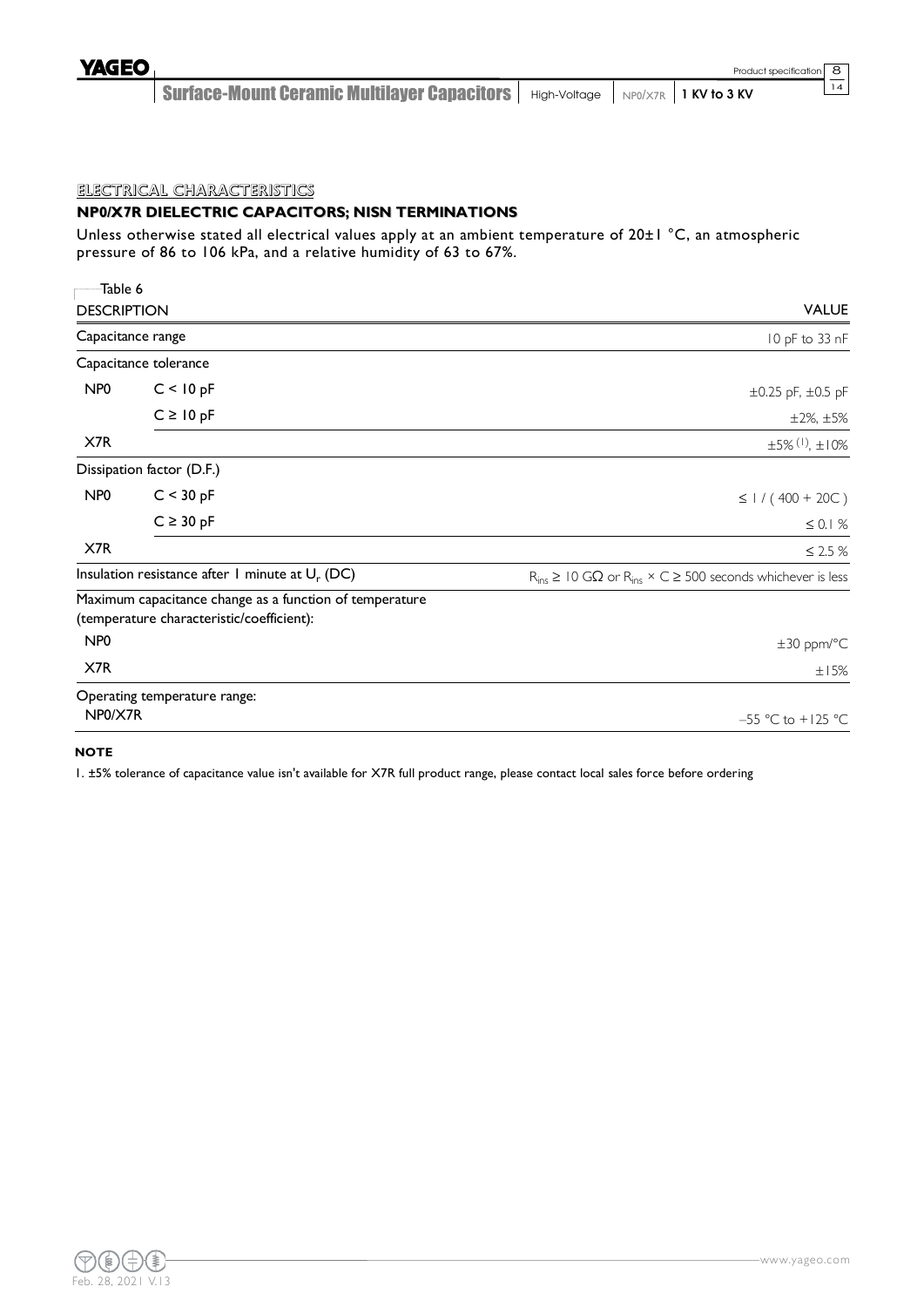Surface-Mount Ceramic Multilayer Capacitors | High-Voltage | NP0/X7R | 1 KV to 3 KV

# ELECTRICAL CHARACTERISTICS

# **NP0/X7R DIELECTRIC CAPACITORS; NISN TERMINATIONS**

Unless otherwise stated all electrical values apply at an ambient temperature of 20±1 °C, an atmospheric pressure of 86 to 106 kPa, and a relative humidity of 63 to 67%.

| Table 6                     |                                                                                                      |                                                                                       |
|-----------------------------|------------------------------------------------------------------------------------------------------|---------------------------------------------------------------------------------------|
| <b>DESCRIPTION</b>          |                                                                                                      | <b>VALUE</b>                                                                          |
|                             | Capacitance range                                                                                    | 10 pF to 33 nF                                                                        |
|                             | Capacitance tolerance                                                                                |                                                                                       |
| NP <sub>0</sub>             | C < 10 pF                                                                                            | $\pm 0.25$ pF, $\pm 0.5$ pF                                                           |
|                             | $C \ge 10$ pF                                                                                        | $±2\%, ±5\%$                                                                          |
| X7R                         |                                                                                                      | $\pm 5\%$ (1), $\pm 10\%$                                                             |
|                             | Dissipation factor (D.F.)                                                                            |                                                                                       |
| NP <sub>0</sub>             | C < 30 pF                                                                                            | $\leq$ 1 / (400 + 20C)                                                                |
|                             | $C \geq 30$ pF                                                                                       | $\leq 0.1%$                                                                           |
| X7R                         |                                                                                                      | $\leq$ 2.5 $\%$                                                                       |
|                             | Insulation resistance after 1 minute at $U_r$ (DC)                                                   | $R_{ins} \geq 10$ G $\Omega$ or $R_{ins} \times C \geq 500$ seconds whichever is less |
|                             | Maximum capacitance change as a function of temperature<br>(temperature characteristic/coefficient): |                                                                                       |
| N <sub>P</sub> <sub>0</sub> |                                                                                                      | $\pm 30$ ppm/°C                                                                       |
| X7R                         |                                                                                                      | ±15%                                                                                  |
|                             | Operating temperature range:                                                                         |                                                                                       |
| NP0/X7R                     |                                                                                                      | $-55 °C$ to $+125 °C$                                                                 |

#### **NOTE**

1. ±5% tolerance of capacitance value isn't available for X7R full product range, please contact local sales force before ordering

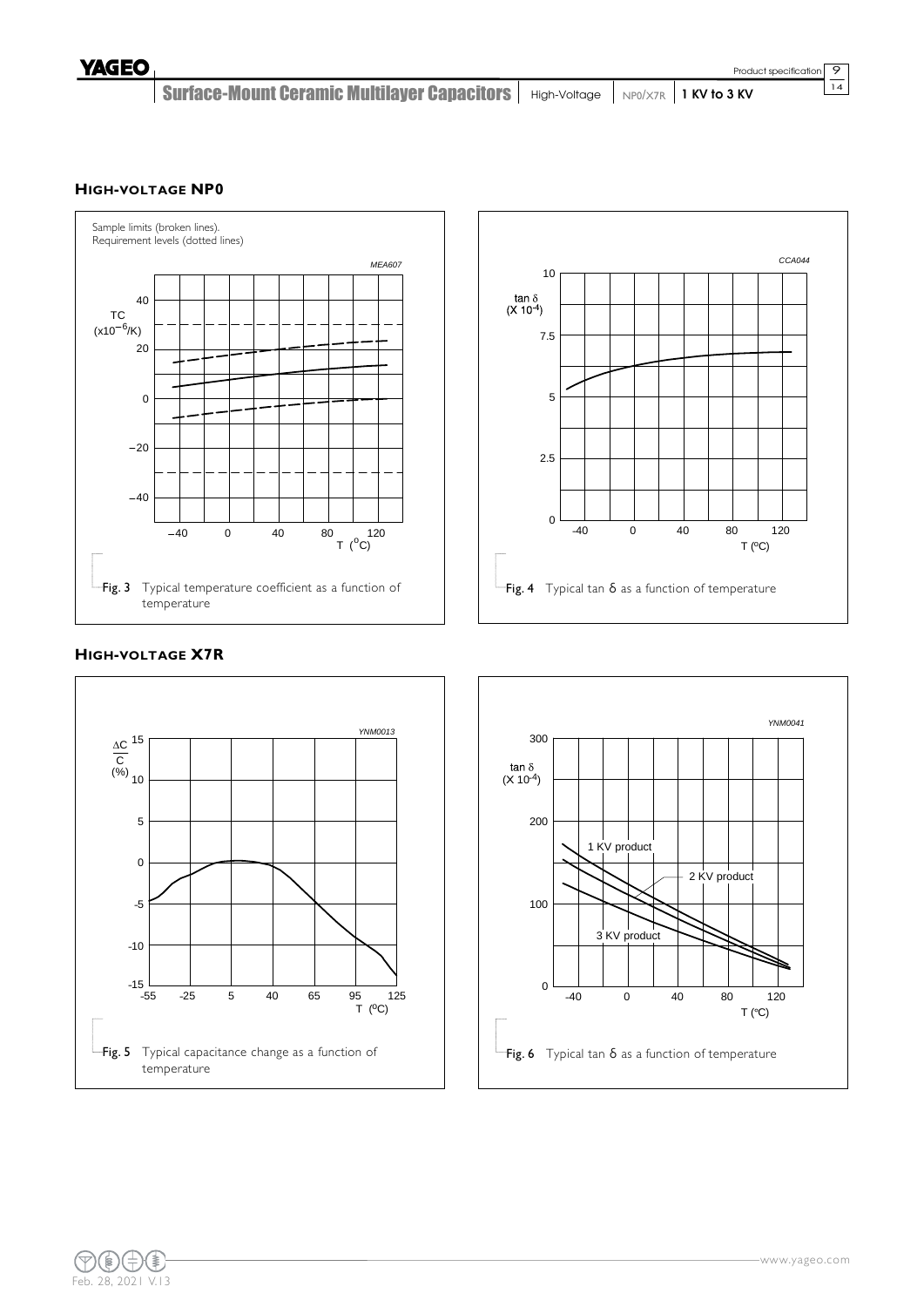Surface-Mount Ceramic Multilayer Capacitors | High-Voltage | NP0/X7R | 1 KV to 3 KV

### **HIGH-VOLTAGE NP0**





# **HIGH-VOLTAGE X7R**





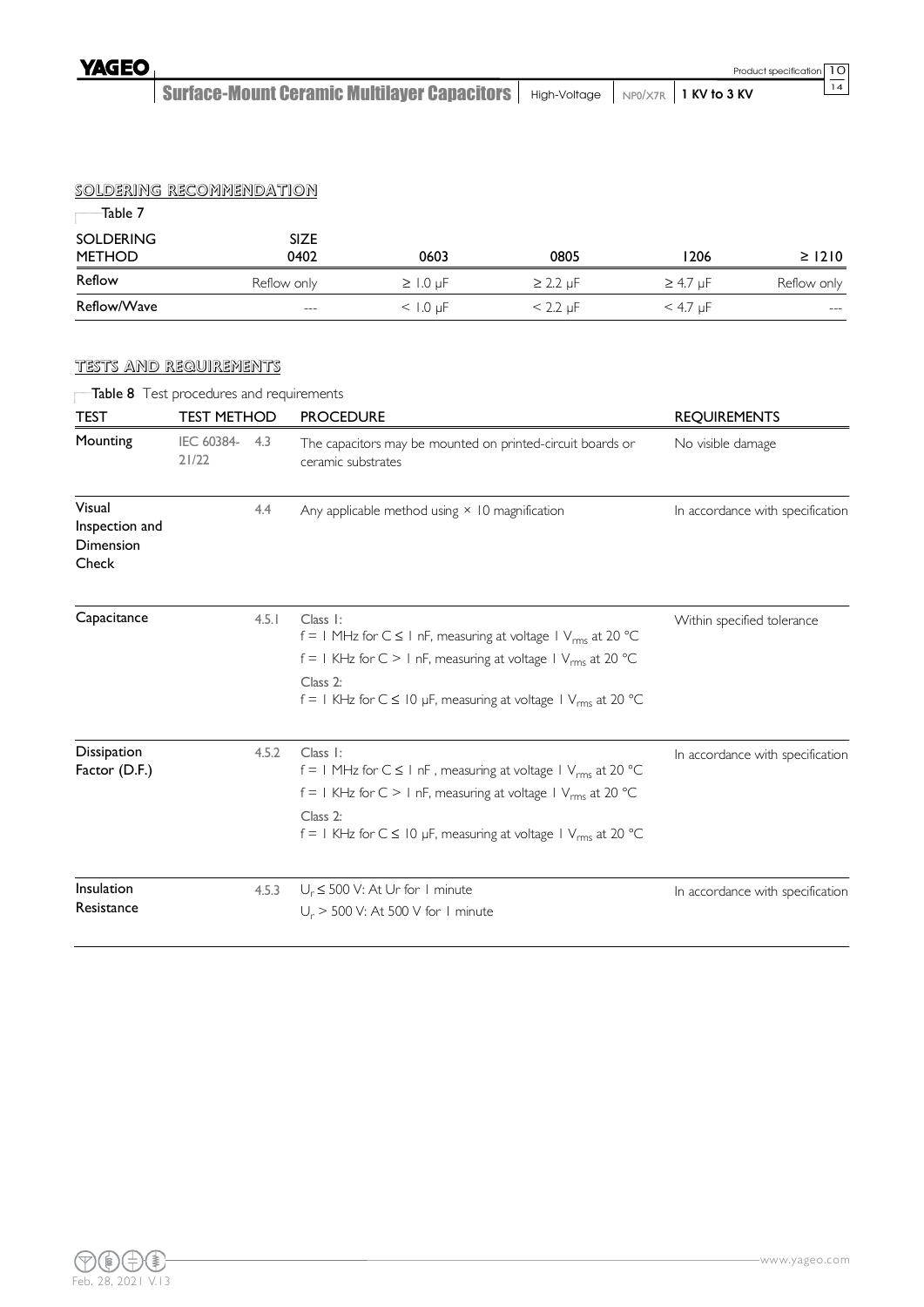Surface-Mount Ceramic Multilayer Capacitors | High-Voltage | NP0/X7R | 1 KV to 3 KV

# SOLDERING RECOMMENDATION

| -Table 7                          |                     |                 |               |                 |             |  |  |  |  |  |  |
|-----------------------------------|---------------------|-----------------|---------------|-----------------|-------------|--|--|--|--|--|--|
| <b>SOLDERING</b><br><b>METHOD</b> | <b>SIZE</b><br>0402 | 0603            | 0805          | 1206            | $\geq$ 1210 |  |  |  |  |  |  |
| Reflow                            | Reflow only         | $\geq$ 1.0 µF   | $\geq$ 2.2 µF | $\geq$ 4.7 µF   | Reflow only |  |  |  |  |  |  |
| Reflow/Wave                       | $---$               | $<$ 1.0 $\mu$ F | $< 2.2 \mu F$ | $<$ 4.7 $\mu$ F | $---$       |  |  |  |  |  |  |

### TESTS AND REQUIREMENTS

|                                                       | Table 8 Test procedures and requirements |       |                                                                                                                                                                                                                                                                             |                                  |
|-------------------------------------------------------|------------------------------------------|-------|-----------------------------------------------------------------------------------------------------------------------------------------------------------------------------------------------------------------------------------------------------------------------------|----------------------------------|
| <b>TEST</b>                                           | <b>TEST METHOD</b>                       |       | <b>PROCEDURE</b>                                                                                                                                                                                                                                                            | <b>REQUIREMENTS</b>              |
| Mounting                                              | IEC 60384- 4.3<br>21/22                  |       | The capacitors may be mounted on printed-circuit boards or<br>ceramic substrates                                                                                                                                                                                            | No visible damage                |
| Visual<br>Inspection and<br><b>Dimension</b><br>Check |                                          | 4.4   | Any applicable method using $\times$ 10 magnification                                                                                                                                                                                                                       | In accordance with specification |
| Capacitance                                           |                                          | 4.5.1 | Class I:<br>$f = 1$ MHz for $C \le 1$ nF, measuring at voltage $1$ V <sub>rms</sub> at 20 °C<br>$f = 1$ KHz for C > 1 nF, measuring at voltage 1 V <sub>rms</sub> at 20 °C<br>Class 2:<br>$f = 1$ KHz for $C \le 10$ µF, measuring at voltage $1$ V <sub>rms</sub> at 20 °C | Within specified tolerance       |
| Dissipation<br>Factor (D.F.)                          |                                          | 4.5.2 | Class I:<br>$f = 1$ MHz for $C \le 1$ nF, measuring at voltage $1$ V <sub>rms</sub> at 20 °C<br>$f = 1$ KHz for C > 1 nF, measuring at voltage 1 V <sub>rms</sub> at 20 °C<br>Class 2:<br>$f = 1$ KHz for $C \le 10$ µF, measuring at voltage 1 V <sub>rms</sub> at 20 °C   | In accordance with specification |
| Insulation<br>Resistance                              |                                          | 4.5.3 | $U_r \le 500$ V: At Ur for 1 minute<br>$U_r$ > 500 V: At 500 V for 1 minute                                                                                                                                                                                                 | In accordance with specification |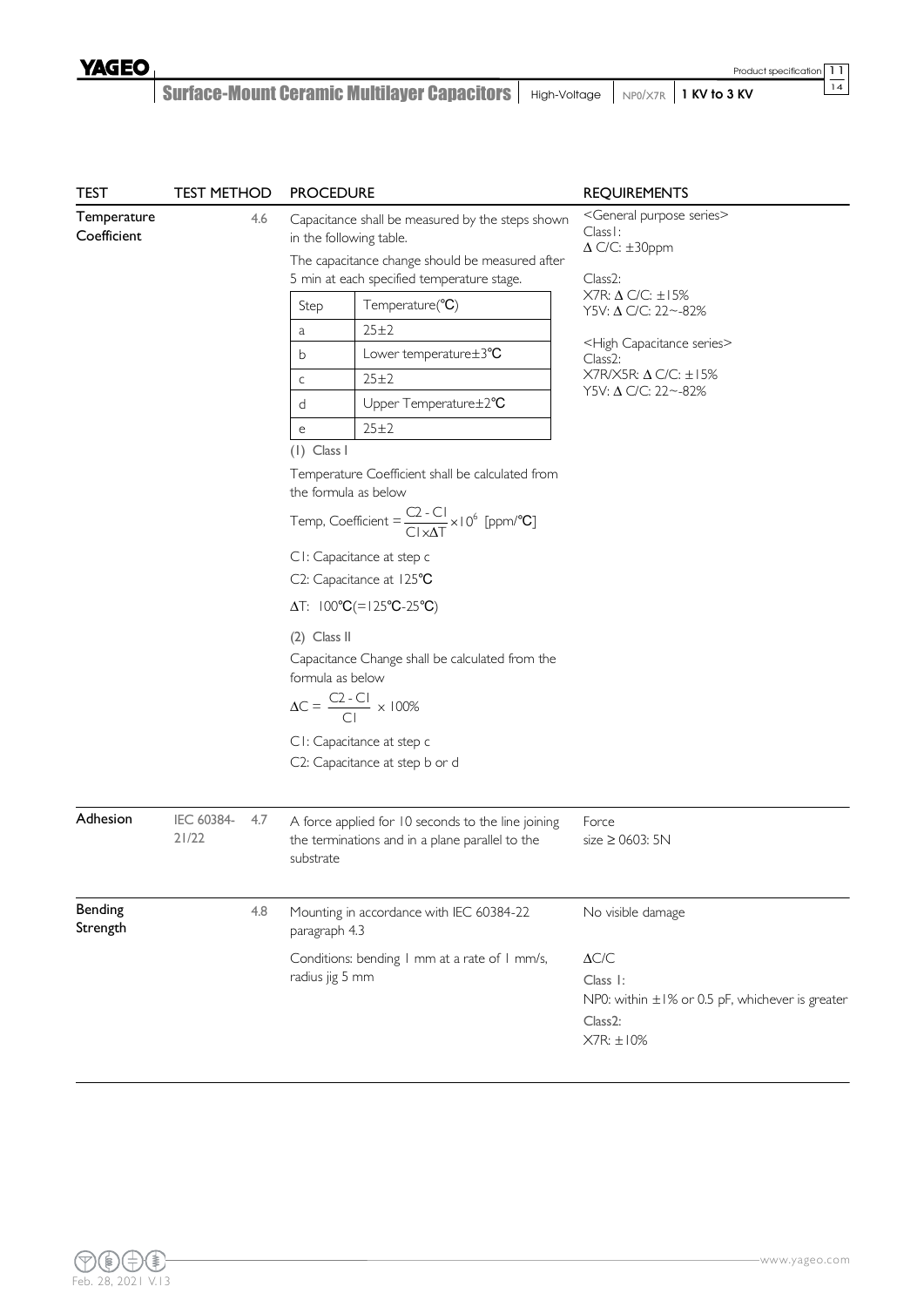| <b>TEST</b>                | <b>TEST METHOD</b>  |     | <b>PROCEDURE</b>                                                                                                                                                                                                                                                                                                                                                                                                                                                                                                                                                                                                                                                                                                                                                                                                                                            | <b>REQUIREMENTS</b>                                                                                                                                                                                                                                                                                                                                                |
|----------------------------|---------------------|-----|-------------------------------------------------------------------------------------------------------------------------------------------------------------------------------------------------------------------------------------------------------------------------------------------------------------------------------------------------------------------------------------------------------------------------------------------------------------------------------------------------------------------------------------------------------------------------------------------------------------------------------------------------------------------------------------------------------------------------------------------------------------------------------------------------------------------------------------------------------------|--------------------------------------------------------------------------------------------------------------------------------------------------------------------------------------------------------------------------------------------------------------------------------------------------------------------------------------------------------------------|
| Temperature<br>Coefficient |                     | 4.6 | Capacitance shall be measured by the steps shown<br>in the following table.<br>The capacitance change should be measured after<br>5 min at each specified temperature stage.<br>Temperature(°C)<br>Step<br>25±2<br>a<br>Lower temperature ± 3°C<br>b<br>25±2<br>$\mathsf C$<br>Upper Temperature±2°C<br>d<br>25±2<br>$\mathsf{e}% _{t}\left( t\right)$<br>$(1)$ Class I<br>Temperature Coefficient shall be calculated from<br>the formula as below<br>Temp, Coefficient = $\frac{C2 - C1}{C1 \times AT} \times 10^6$ [ppm/°C]<br>CI: Capacitance at step c<br>C2: Capacitance at 125°C<br>$\Delta T$ : $100^{\circ}C = 125^{\circ}C - 25^{\circ}C$<br>$(2)$ Class II<br>Capacitance Change shall be calculated from the<br>formula as below<br>$\Delta C = \frac{C2 - C1}{C1} \times 100\%$<br>CI: Capacitance at step c<br>C2: Capacitance at step b or d | <general purpose="" series=""><br/>Class I:<br/><math>\Delta</math> C/C: <math>\pm</math>30ppm<br/>Class<sub>2</sub>:<br/><math>X7R: \Delta</math> C/C: <math>\pm 15%</math><br/>Y5V: Δ C/C: 22~-82%<br/><high capacitance="" series=""><br/>Class<sub>2</sub>:<br/>X7R/X5R: <math>\Delta</math> C/C: <math>\pm</math>15%<br/>Y5V: Δ C/C: 22~-82%</high></general> |
| Adhesion                   | IEC 60384-<br>21/22 | 4.7 | A force applied for 10 seconds to the line joining<br>the terminations and in a plane parallel to the<br>substrate                                                                                                                                                                                                                                                                                                                                                                                                                                                                                                                                                                                                                                                                                                                                          | Force<br>size $\geq$ 0603: 5N                                                                                                                                                                                                                                                                                                                                      |
| Bending<br>Strength        |                     | 4.8 | Mounting in accordance with IEC 60384-22<br>paragraph 4.3<br>Conditions: bending I mm at a rate of I mm/s,<br>radius jig 5 mm                                                                                                                                                                                                                                                                                                                                                                                                                                                                                                                                                                                                                                                                                                                               | No visible damage<br>$\Delta C/C$<br>Class 1:<br>NP0: within ±1% or 0.5 pF, whichever is greater<br>Class <sub>2</sub> :<br>$X7R: \pm 10\%$                                                                                                                                                                                                                        |

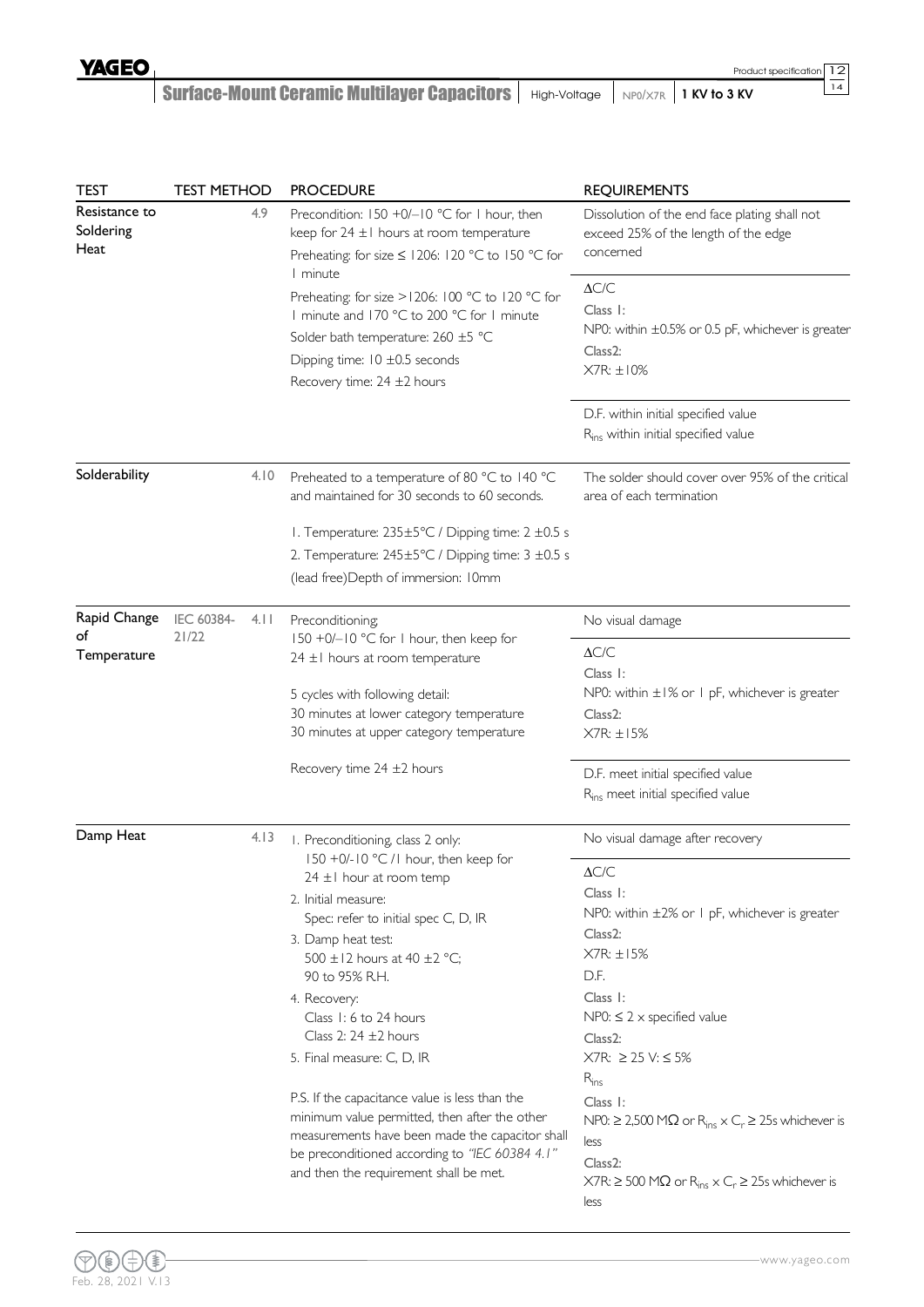### Surface-Mount Ceramic Multilayer Capacitors | High-Voltage | NP0/X7R | 1 KV to 3 KV

| <b>TEST</b>                        | <b>TEST METHOD</b> |      | <b>PROCEDURE</b>                                                                                                                                                                                                                                                                                                                                                                                                                                                                                                                                                      | <b>REQUIREMENTS</b>                                                                                                                                                                                                                                                                                                                                                                                                                         |  |
|------------------------------------|--------------------|------|-----------------------------------------------------------------------------------------------------------------------------------------------------------------------------------------------------------------------------------------------------------------------------------------------------------------------------------------------------------------------------------------------------------------------------------------------------------------------------------------------------------------------------------------------------------------------|---------------------------------------------------------------------------------------------------------------------------------------------------------------------------------------------------------------------------------------------------------------------------------------------------------------------------------------------------------------------------------------------------------------------------------------------|--|
| Resistance to<br>Soldering<br>Heat |                    | 4.9  | Precondition: 150 +0/-10 °C for 1 hour, then<br>keep for $24 \pm 1$ hours at room temperature<br>Preheating: for size ≤ 1206: 120 °C to 150 °C for<br>1 minute                                                                                                                                                                                                                                                                                                                                                                                                        | Dissolution of the end face plating shall not<br>exceed 25% of the length of the edge<br>concerned                                                                                                                                                                                                                                                                                                                                          |  |
|                                    |                    |      | Preheating: for size > 1206: 100 °C to 120 °C for<br>I minute and 170 °C to 200 °C for I minute<br>Solder bath temperature: 260 ±5 °C<br>Dipping time: $10 \pm 0.5$ seconds<br>Recovery time: 24 ±2 hours                                                                                                                                                                                                                                                                                                                                                             | $\Delta{\text{C/C}}$<br>Class I:<br>NP0: within $\pm 0.5\%$ or 0.5 pF, whichever is greater<br>Class <sub>2</sub> :<br>$X7R: \pm 10\%$                                                                                                                                                                                                                                                                                                      |  |
|                                    |                    |      |                                                                                                                                                                                                                                                                                                                                                                                                                                                                                                                                                                       | D.F. within initial specified value<br>R <sub>ins</sub> within initial specified value                                                                                                                                                                                                                                                                                                                                                      |  |
| Solderability                      |                    | 4.10 | Preheated to a temperature of 80 °C to 140 °C<br>and maintained for 30 seconds to 60 seconds.                                                                                                                                                                                                                                                                                                                                                                                                                                                                         | The solder should cover over 95% of the critical<br>area of each termination                                                                                                                                                                                                                                                                                                                                                                |  |
|                                    |                    |      | I. Temperature: 235±5°C / Dipping time: 2 ±0.5 s<br>2. Temperature: 245±5°C / Dipping time: 3 ±0.5 s<br>(lead free) Depth of immersion: I0mm                                                                                                                                                                                                                                                                                                                                                                                                                          |                                                                                                                                                                                                                                                                                                                                                                                                                                             |  |
| Rapid Change                       | IEC 60384-         | 4.11 | Preconditioning;                                                                                                                                                                                                                                                                                                                                                                                                                                                                                                                                                      | No visual damage                                                                                                                                                                                                                                                                                                                                                                                                                            |  |
| of<br>Temperature                  | 21/22              |      | 150 +0/-10 °C for 1 hour, then keep for<br>24 ±1 hours at room temperature<br>5 cycles with following detail:<br>30 minutes at lower category temperature                                                                                                                                                                                                                                                                                                                                                                                                             | $\Delta C/C$<br>Class I:<br>NP0: within $\pm 1\%$ or 1 pF, whichever is greater<br>Class <sub>2</sub> :                                                                                                                                                                                                                                                                                                                                     |  |
|                                    |                    |      | 30 minutes at upper category temperature                                                                                                                                                                                                                                                                                                                                                                                                                                                                                                                              | $X7R: \pm 15%$                                                                                                                                                                                                                                                                                                                                                                                                                              |  |
|                                    |                    |      | Recovery time $24 \pm 2$ hours                                                                                                                                                                                                                                                                                                                                                                                                                                                                                                                                        | D.F. meet initial specified value<br>R <sub>ins</sub> meet initial specified value                                                                                                                                                                                                                                                                                                                                                          |  |
| Damp Heat                          |                    | 4.13 | I. Preconditioning, class 2 only:                                                                                                                                                                                                                                                                                                                                                                                                                                                                                                                                     | No visual damage after recovery                                                                                                                                                                                                                                                                                                                                                                                                             |  |
|                                    |                    |      | 150 +0/-10 °C /1 hour, then keep for<br>24 ±1 hour at room temp<br>2. Initial measure:<br>Spec: refer to initial spec C, D, IR<br>3. Damp heat test:<br>500 $\pm$ 12 hours at 40 $\pm$ 2 °C;<br>90 to 95% R.H.<br>4. Recovery:<br>Class 1: 6 to 24 hours<br>Class 2: $24 \pm 2$ hours<br>5. Final measure: C, D, IR<br>P.S. If the capacitance value is less than the<br>minimum value permitted, then after the other<br>measurements have been made the capacitor shall<br>be preconditioned according to "IEC 60384 4.1"<br>and then the requirement shall be met. | $\Delta C/C$<br>Class I:<br>NP0: within ±2% or 1 pF, whichever is greater<br>$Class2$ :<br>$X7R: \pm 15%$<br>D.F.<br>Class I:<br>$NP0: \leq 2 \times specified$ value<br>Class2:<br>X7R: ≥ 25 V: ≤ 5%<br>$R_{ins}$<br>Class I:<br>NP0: $\geq$ 2,500 MΩ or R <sub>ins</sub> $\times$ C <sub>r</sub> $\geq$ 25s whichever is<br>less<br>Class <sub>2</sub> :<br>$X7R: \geq 500 M\Omega$ or $R_{ins} \times C_r \geq 25s$ whichever is<br>less |  |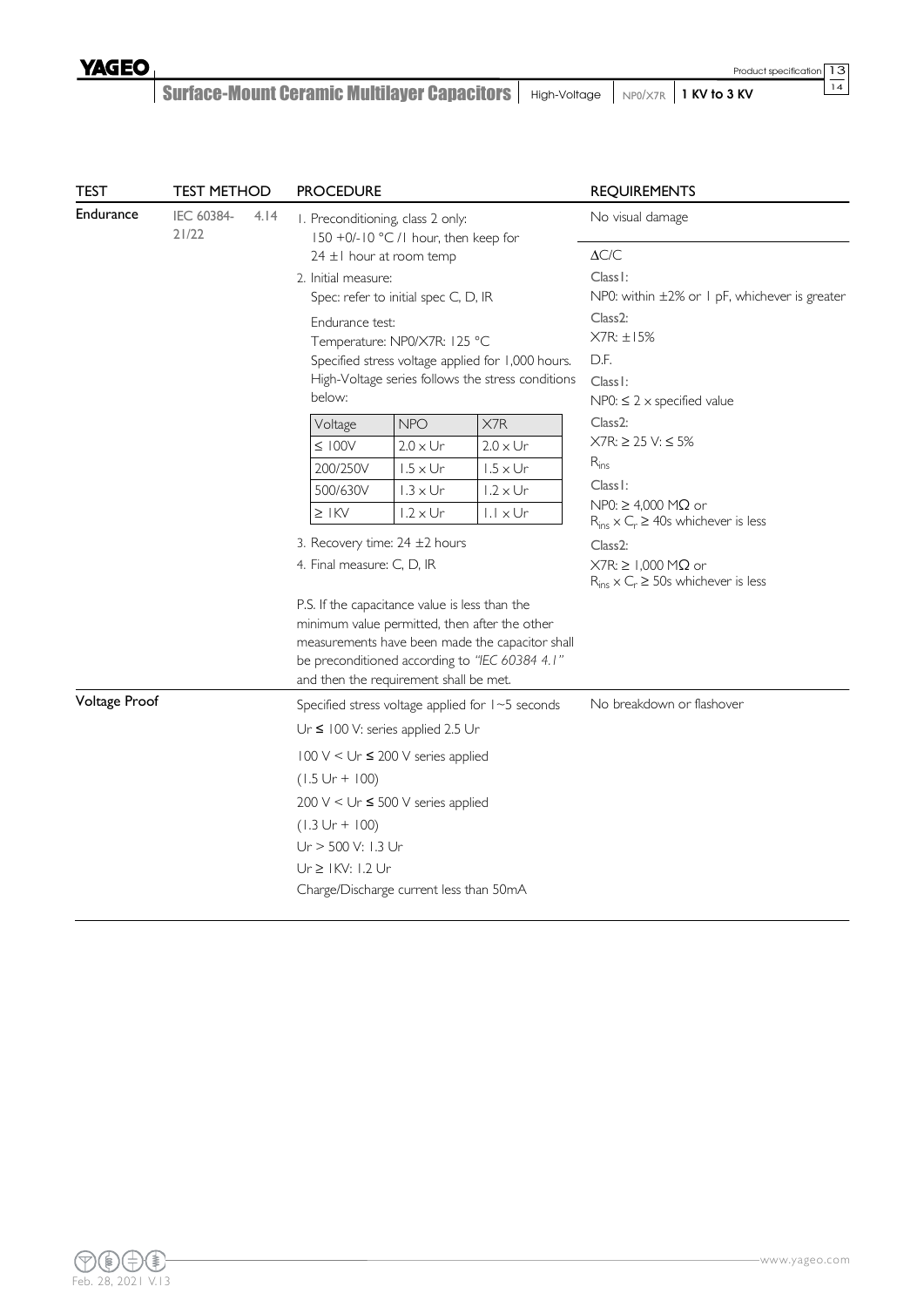# Surface-Mount Ceramic Multilayer Capacitors | High-Voltage | NP0/X7R | 1 KV to 3 KV

| <b>TEST</b>      | <b>TEST METHOD</b>  |      | <b>PROCEDURE</b>                                                                                 |                                                                                                                                                            |                                                                                                                                                    |                                                                                                                                                                                                                                               |  |  |  |
|------------------|---------------------|------|--------------------------------------------------------------------------------------------------|------------------------------------------------------------------------------------------------------------------------------------------------------------|----------------------------------------------------------------------------------------------------------------------------------------------------|-----------------------------------------------------------------------------------------------------------------------------------------------------------------------------------------------------------------------------------------------|--|--|--|
| <b>Endurance</b> | IEC 60384-<br>21/22 | 4.14 | I. Preconditioning, class 2 only:<br>2. Initial measure:<br>Endurance test:<br>below:<br>Voltage | 150 +0/-10 °C /1 hour, then keep for<br>$24 \pm 1$ hour at room temp<br>Spec: refer to initial spec C, D, IR<br>Temperature: NP0/X7R: 125 °C<br><b>NPO</b> | Specified stress voltage applied for 1,000 hours.<br>High-Voltage series follows the stress conditions<br>X7R                                      | <b>REQUIREMENTS</b><br>No visual damage<br>$\Delta C/C$<br>Class I:<br>NP0: within ±2% or 1 pF, whichever is greater<br>Class <sub>2</sub> :<br>X7R: ±15%<br>D.F.<br>Class I:<br>$NP0: \leq 2 \times specified$ value<br>Class <sub>2</sub> : |  |  |  |
|                  |                     |      | $\leq 100$ V                                                                                     | $2.0 \times Ur$                                                                                                                                            | $2.0 \times Ur$                                                                                                                                    | $X7R: \geq 25 V: \leq 5\%$                                                                                                                                                                                                                    |  |  |  |
|                  |                     |      | 200/250V                                                                                         | $1.5 \times Ur$                                                                                                                                            | $1.5 \times Ur$                                                                                                                                    | $R_{ins}$                                                                                                                                                                                                                                     |  |  |  |
|                  |                     |      | 500/630V                                                                                         | $1.3 \times Ur$                                                                                                                                            | $1.2 \times Ur$                                                                                                                                    | Class I:                                                                                                                                                                                                                                      |  |  |  |
|                  |                     |      | $\geq$ IKV                                                                                       | $1.2 \times Ur$                                                                                                                                            | $ .  \times Ur$                                                                                                                                    | $NP0: \geq 4,000$ M $\Omega$ or<br>$R_{ins} \times C_r \ge 40$ s whichever is less                                                                                                                                                            |  |  |  |
|                  |                     |      | 3. Recovery time: 24 ±2 hours                                                                    |                                                                                                                                                            |                                                                                                                                                    | Class <sub>2</sub> :                                                                                                                                                                                                                          |  |  |  |
|                  |                     |      | 4. Final measure: C, D, IR                                                                       |                                                                                                                                                            |                                                                                                                                                    | $X7R: \geq 1,000 M\Omega$ or<br>$R_{ins} \times C_r \ge 50$ s whichever is less                                                                                                                                                               |  |  |  |
|                  |                     |      | P.S. If the capacitance value is less than the<br>and then the requirement shall be met.         |                                                                                                                                                            | minimum value permitted, then after the other<br>measurements have been made the capacitor shall<br>be preconditioned according to "IEC 60384 4.1" |                                                                                                                                                                                                                                               |  |  |  |
| Voltage Proof    |                     |      |                                                                                                  |                                                                                                                                                            | Specified stress voltage applied for 1~5 seconds                                                                                                   | No breakdown or flashover                                                                                                                                                                                                                     |  |  |  |
|                  |                     |      | Ur $\leq$ 100 V: series applied 2.5 Ur                                                           |                                                                                                                                                            |                                                                                                                                                    |                                                                                                                                                                                                                                               |  |  |  |
|                  |                     |      | 100 V < Ur ≤ 200 V series applied                                                                |                                                                                                                                                            |                                                                                                                                                    |                                                                                                                                                                                                                                               |  |  |  |
|                  |                     |      | $(1.5 Ur + 100)$                                                                                 |                                                                                                                                                            |                                                                                                                                                    |                                                                                                                                                                                                                                               |  |  |  |
|                  |                     |      | 200 V < Ur $\leq$ 500 V series applied                                                           |                                                                                                                                                            |                                                                                                                                                    |                                                                                                                                                                                                                                               |  |  |  |
|                  |                     |      | $(1.3 Ur + 100)$                                                                                 |                                                                                                                                                            |                                                                                                                                                    |                                                                                                                                                                                                                                               |  |  |  |
|                  |                     |      | Ur > 500 V: 1.3 Ur                                                                               |                                                                                                                                                            |                                                                                                                                                    |                                                                                                                                                                                                                                               |  |  |  |
|                  |                     |      | Ur ≥ IKV: I.2 Ur                                                                                 |                                                                                                                                                            |                                                                                                                                                    |                                                                                                                                                                                                                                               |  |  |  |
|                  |                     |      | Charge/Discharge current less than 50mA                                                          |                                                                                                                                                            |                                                                                                                                                    |                                                                                                                                                                                                                                               |  |  |  |
|                  |                     |      |                                                                                                  |                                                                                                                                                            |                                                                                                                                                    |                                                                                                                                                                                                                                               |  |  |  |